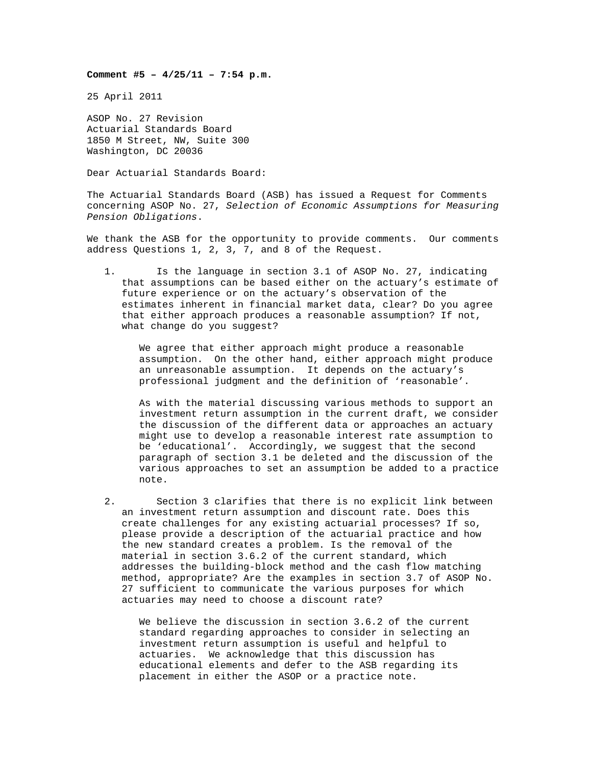## **Comment #5 – 4/25/11 – 7:54 p.m.**

25 April 2011

ASOP No. 27 Revision Actuarial Standards Board 1850 M Street, NW, Suite 300 Washington, DC 20036

Dear Actuarial Standards Board:

The Actuarial Standards Board (ASB) has issued a Request for Comments concerning ASOP No. 27, *Selection of Economic Assumptions for Measuring Pension Obligations*.

We thank the ASB for the opportunity to provide comments. Our comments address Questions 1, 2, 3, 7, and 8 of the Request.

1. Is the language in section 3.1 of ASOP No. 27, indicating that assumptions can be based either on the actuary's estimate of future experience or on the actuary's observation of the estimates inherent in financial market data, clear? Do you agree that either approach produces a reasonable assumption? If not, what change do you suggest?

We agree that either approach might produce a reasonable assumption. On the other hand, either approach might produce an unreasonable assumption. It depends on the actuary's professional judgment and the definition of 'reasonable'.

As with the material discussing various methods to support an investment return assumption in the current draft, we consider the discussion of the different data or approaches an actuary might use to develop a reasonable interest rate assumption to be 'educational'. Accordingly, we suggest that the second paragraph of section 3.1 be deleted and the discussion of the various approaches to set an assumption be added to a practice note.

2. Section 3 clarifies that there is no explicit link between an investment return assumption and discount rate. Does this create challenges for any existing actuarial processes? If so, please provide a description of the actuarial practice and how the new standard creates a problem. Is the removal of the material in section 3.6.2 of the current standard, which addresses the building-block method and the cash flow matching method, appropriate? Are the examples in section 3.7 of ASOP No. 27 sufficient to communicate the various purposes for which actuaries may need to choose a discount rate?

We believe the discussion in section 3.6.2 of the current standard regarding approaches to consider in selecting an investment return assumption is useful and helpful to actuaries. We acknowledge that this discussion has educational elements and defer to the ASB regarding its placement in either the ASOP or a practice note.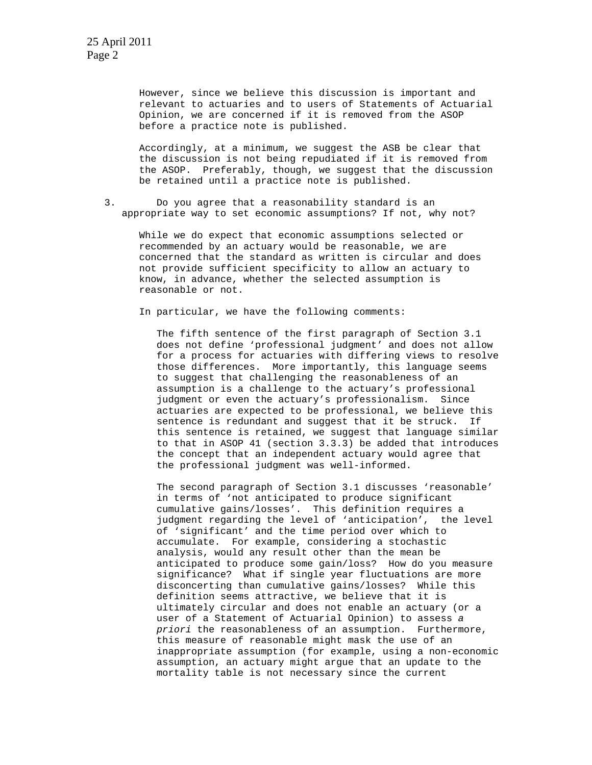However, since we believe this discussion is important and relevant to actuaries and to users of Statements of Actuarial Opinion, we are concerned if it is removed from the ASOP before a practice note is published.

Accordingly, at a minimum, we suggest the ASB be clear that the discussion is not being repudiated if it is removed from the ASOP. Preferably, though, we suggest that the discussion be retained until a practice note is published.

3. Do you agree that a reasonability standard is an appropriate way to set economic assumptions? If not, why not?

While we do expect that economic assumptions selected or recommended by an actuary would be reasonable, we are concerned that the standard as written is circular and does not provide sufficient specificity to allow an actuary to know, in advance, whether the selected assumption is reasonable or not.

In particular, we have the following comments:

The fifth sentence of the first paragraph of Section 3.1 does not define 'professional judgment' and does not allow for a process for actuaries with differing views to resolve those differences. More importantly, this language seems to suggest that challenging the reasonableness of an assumption is a challenge to the actuary's professional judgment or even the actuary's professionalism. Since actuaries are expected to be professional, we believe this sentence is redundant and suggest that it be struck. If this sentence is retained, we suggest that language similar to that in ASOP 41 (section 3.3.3) be added that introduces the concept that an independent actuary would agree that the professional judgment was well-informed.

The second paragraph of Section 3.1 discusses 'reasonable' in terms of 'not anticipated to produce significant cumulative gains/losses'. This definition requires a judgment regarding the level of 'anticipation', the level of 'significant' and the time period over which to accumulate. For example, considering a stochastic analysis, would any result other than the mean be anticipated to produce some gain/loss? How do you measure significance? What if single year fluctuations are more disconcerting than cumulative gains/losses? While this definition seems attractive, we believe that it is ultimately circular and does not enable an actuary (or a user of a Statement of Actuarial Opinion) to assess *a priori* the reasonableness of an assumption. Furthermore, this measure of reasonable might mask the use of an inappropriate assumption (for example, using a non-economic assumption, an actuary might argue that an update to the mortality table is not necessary since the current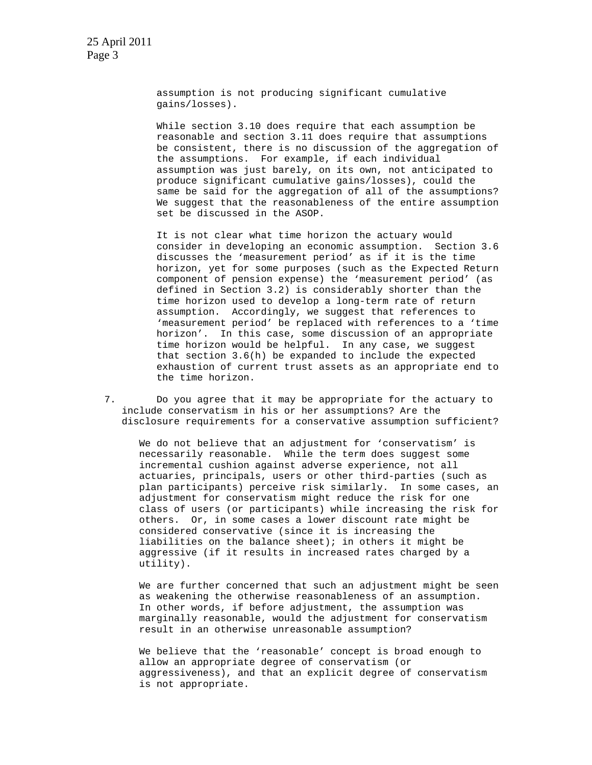assumption is not producing significant cumulative gains/losses).

While section 3.10 does require that each assumption be reasonable and section 3.11 does require that assumptions be consistent, there is no discussion of the aggregation of the assumptions. For example, if each individual assumption was just barely, on its own, not anticipated to produce significant cumulative gains/losses), could the same be said for the aggregation of all of the assumptions? We suggest that the reasonableness of the entire assumption set be discussed in the ASOP.

It is not clear what time horizon the actuary would consider in developing an economic assumption. Section 3.6 discusses the 'measurement period' as if it is the time horizon, yet for some purposes (such as the Expected Return component of pension expense) the 'measurement period' (as defined in Section 3.2) is considerably shorter than the time horizon used to develop a long-term rate of return assumption. Accordingly, we suggest that references to 'measurement period' be replaced with references to a 'time horizon'. In this case, some discussion of an appropriate time horizon would be helpful. In any case, we suggest that section 3.6(h) be expanded to include the expected exhaustion of current trust assets as an appropriate end to the time horizon.

7. Do you agree that it may be appropriate for the actuary to include conservatism in his or her assumptions? Are the disclosure requirements for a conservative assumption sufficient?

We do not believe that an adjustment for 'conservatism' is necessarily reasonable. While the term does suggest some incremental cushion against adverse experience, not all actuaries, principals, users or other third-parties (such as plan participants) perceive risk similarly. In some cases, an adjustment for conservatism might reduce the risk for one class of users (or participants) while increasing the risk for others. Or, in some cases a lower discount rate might be considered conservative (since it is increasing the liabilities on the balance sheet); in others it might be aggressive (if it results in increased rates charged by a utility).

We are further concerned that such an adjustment might be seen as weakening the otherwise reasonableness of an assumption. In other words, if before adjustment, the assumption was marginally reasonable, would the adjustment for conservatism result in an otherwise unreasonable assumption?

We believe that the 'reasonable' concept is broad enough to allow an appropriate degree of conservatism (or aggressiveness), and that an explicit degree of conservatism is not appropriate.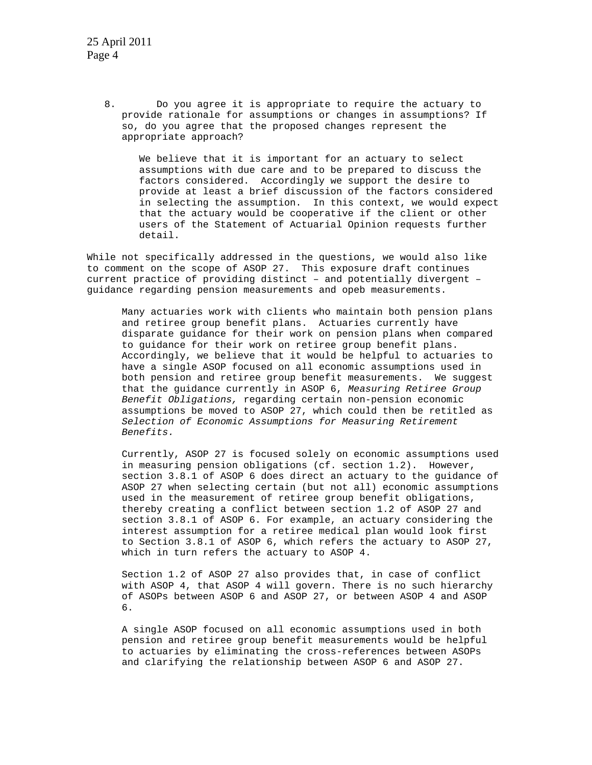8. Do you agree it is appropriate to require the actuary to provide rationale for assumptions or changes in assumptions? If so, do you agree that the proposed changes represent the appropriate approach?

We believe that it is important for an actuary to select assumptions with due care and to be prepared to discuss the factors considered. Accordingly we support the desire to provide at least a brief discussion of the factors considered in selecting the assumption. In this context, we would expect that the actuary would be cooperative if the client or other users of the Statement of Actuarial Opinion requests further detail.

While not specifically addressed in the questions, we would also like to comment on the scope of ASOP 27. This exposure draft continues current practice of providing distinct – and potentially divergent – guidance regarding pension measurements and opeb measurements.

Many actuaries work with clients who maintain both pension plans and retiree group benefit plans. Actuaries currently have disparate guidance for their work on pension plans when compared to guidance for their work on retiree group benefit plans. Accordingly, we believe that it would be helpful to actuaries to have a single ASOP focused on all economic assumptions used in both pension and retiree group benefit measurements. We suggest that the guidance currently in ASOP 6, *Measuring Retiree Group Benefit Obligations,* regarding certain non-pension economic assumptions be moved to ASOP 27, which could then be retitled as *Selection of Economic Assumptions for Measuring Retirement Benefits.* 

Currently, ASOP 27 is focused solely on economic assumptions used in measuring pension obligations (cf. section 1.2). However, section 3.8.1 of ASOP 6 does direct an actuary to the guidance of ASOP 27 when selecting certain (but not all) economic assumptions used in the measurement of retiree group benefit obligations, thereby creating a conflict between section 1.2 of ASOP 27 and section 3.8.1 of ASOP 6. For example, an actuary considering the interest assumption for a retiree medical plan would look first to Section 3.8.1 of ASOP 6, which refers the actuary to ASOP 27, which in turn refers the actuary to ASOP 4.

Section 1.2 of ASOP 27 also provides that, in case of conflict with ASOP 4, that ASOP 4 will govern. There is no such hierarchy of ASOPs between ASOP 6 and ASOP 27, or between ASOP 4 and ASOP 6.

A single ASOP focused on all economic assumptions used in both pension and retiree group benefit measurements would be helpful to actuaries by eliminating the cross-references between ASOPs and clarifying the relationship between ASOP 6 and ASOP 27.